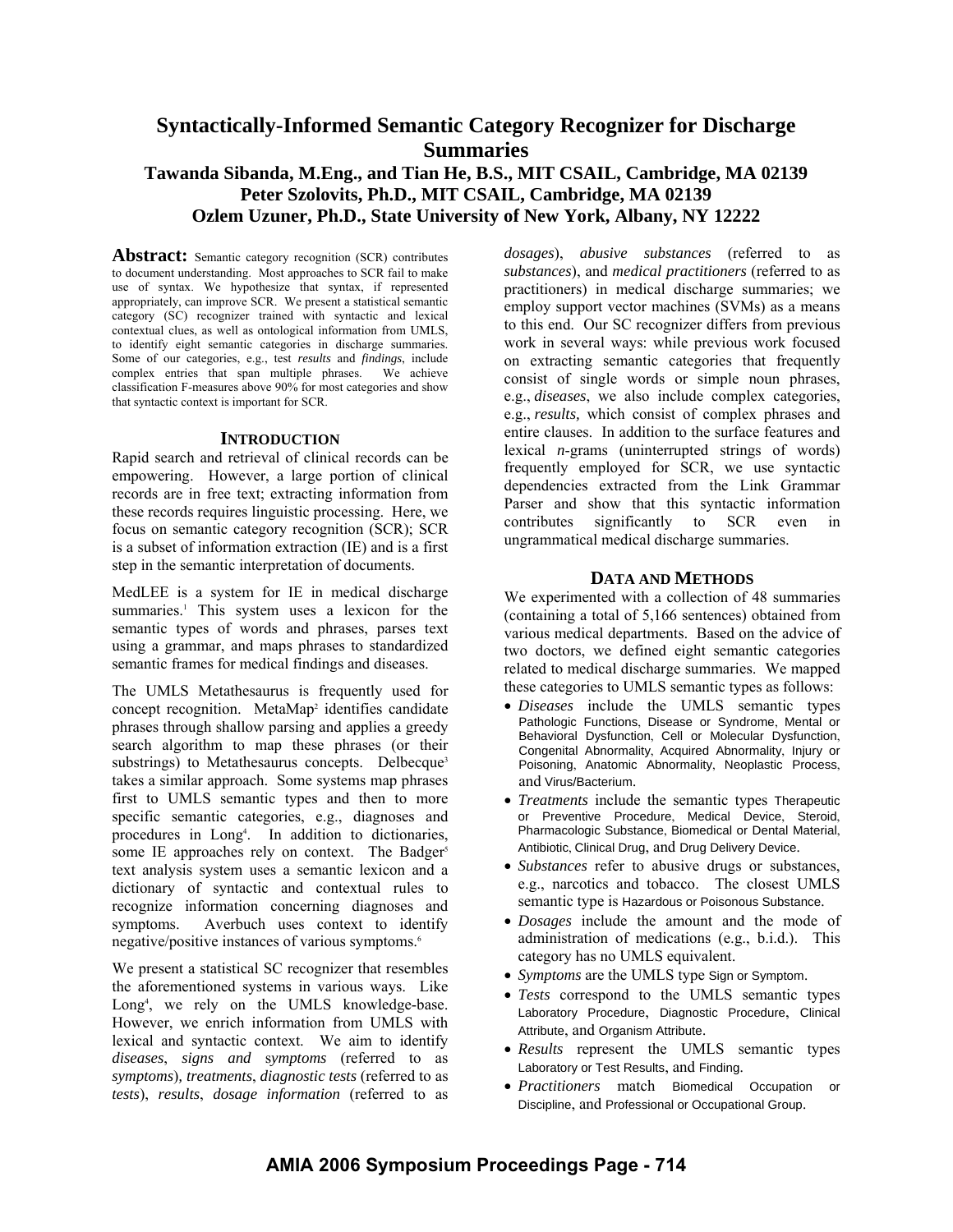# **Syntactically-Informed Semantic Category Recognizer for Discharge Summaries**

# **Tawanda Sibanda, M.Eng., and Tian He, B.S., MIT CSAIL, Cambridge, MA 02139 Peter Szolovits, Ph.D., MIT CSAIL, Cambridge, MA 02139 Ozlem Uzuner, Ph.D., State University of New York, Albany, NY 12222**

Abstract: Semantic category recognition (SCR) contributes to document understanding. Most approaches to SCR fail to make use of syntax. We hypothesize that syntax, if represented appropriately, can improve SCR. We present a statistical semantic category (SC) recognizer trained with syntactic and lexical contextual clues, as well as ontological information from UMLS, to identify eight semantic categories in discharge summaries. Some of our categories, e.g., test *results* and *findings*, include complex entries that span multiple phrases. We achieve classification F-measures above 90% for most categories and show that syntactic context is important for SCR.

#### **INTRODUCTION**

Rapid search and retrieval of clinical records can be empowering. However, a large portion of clinical records are in free text; extracting information from these records requires linguistic processing. Here, we focus on semantic category recognition (SCR); SCR is a subset of information extraction (IE) and is a first step in the semantic interpretation of documents.

MedLEE is a system for IE in medical discharge summaries.<sup>1</sup> This system uses a lexicon for the semantic types of words and phrases, parses text using a grammar, and maps phrases to standardized semantic frames for medical findings and diseases.

The UMLS Metathesaurus is frequently used for concept recognition. MetaMap<sup>2</sup> identifies candidate phrases through shallow parsing and applies a greedy search algorithm to map these phrases (or their substrings) to Metathesaurus concepts. Delbecque<sup>3</sup> takes a similar approach. Some systems map phrases first to UMLS semantic types and then to more specific semantic categories, e.g., diagnoses and procedures in Long<sup>4</sup>. In addition to dictionaries, some IE approaches rely on context. The Badger<sup>5</sup> text analysis system uses a semantic lexicon and a dictionary of syntactic and contextual rules to recognize information concerning diagnoses and symptoms. Averbuch uses context to identify negative/positive instances of various symptoms.6

We present a statistical SC recognizer that resembles the aforementioned systems in various ways. Like Long<sup>4</sup>, we rely on the UMLS knowledge-base. However, we enrich information from UMLS with lexical and syntactic context. We aim to identify *diseases*, *signs and* s*ymptoms* (referred to as *symptoms*)*, treatments*, *diagnostic tests* (referred to as *tests*), *results*, *dosage information* (referred to as

*dosages*), *abusive substances* (referred to as *substances*), and *medical practitioners* (referred to as practitioners) in medical discharge summaries; we employ support vector machines (SVMs) as a means to this end. Our SC recognizer differs from previous work in several ways: while previous work focused on extracting semantic categories that frequently consist of single words or simple noun phrases, e.g., *diseases*, we also include complex categories, e.g., *results,* which consist of complex phrases and entire clauses. In addition to the surface features and lexical *n*-grams (uninterrupted strings of words) frequently employed for SCR, we use syntactic dependencies extracted from the Link Grammar Parser and show that this syntactic information contributes significantly to SCR even in ungrammatical medical discharge summaries.

#### **DATA AND METHODS**

We experimented with a collection of 48 summaries (containing a total of 5,166 sentences) obtained from various medical departments. Based on the advice of two doctors, we defined eight semantic categories related to medical discharge summaries. We mapped these categories to UMLS semantic types as follows:

- *Diseases* include the UMLS semantic types Pathologic Functions, Disease or Syndrome, Mental or Behavioral Dysfunction, Cell or Molecular Dysfunction, Congenital Abnormality, Acquired Abnormality, Injury or Poisoning, Anatomic Abnormality, Neoplastic Process, and Virus/Bacterium.
- *Treatments* include the semantic types Therapeutic or Preventive Procedure, Medical Device, Steroid, Pharmacologic Substance, Biomedical or Dental Material, Antibiotic, Clinical Drug, and Drug Delivery Device.
- *Substances* refer to abusive drugs or substances, e.g., narcotics and tobacco. The closest UMLS semantic type is Hazardous or Poisonous Substance.
- *Dosages* include the amount and the mode of administration of medications (e.g., b.i.d.). This category has no UMLS equivalent.
- *Symptoms* are the UMLS type Sign or Symptom.
- *Tests* correspond to the UMLS semantic types Laboratory Procedure, Diagnostic Procedure, Clinical Attribute, and Organism Attribute.
- *Results* represent the UMLS semantic types Laboratory or Test Results, and Finding.
- *Practitioners* match Biomedical Occupation or Discipline, and Professional or Occupational Group.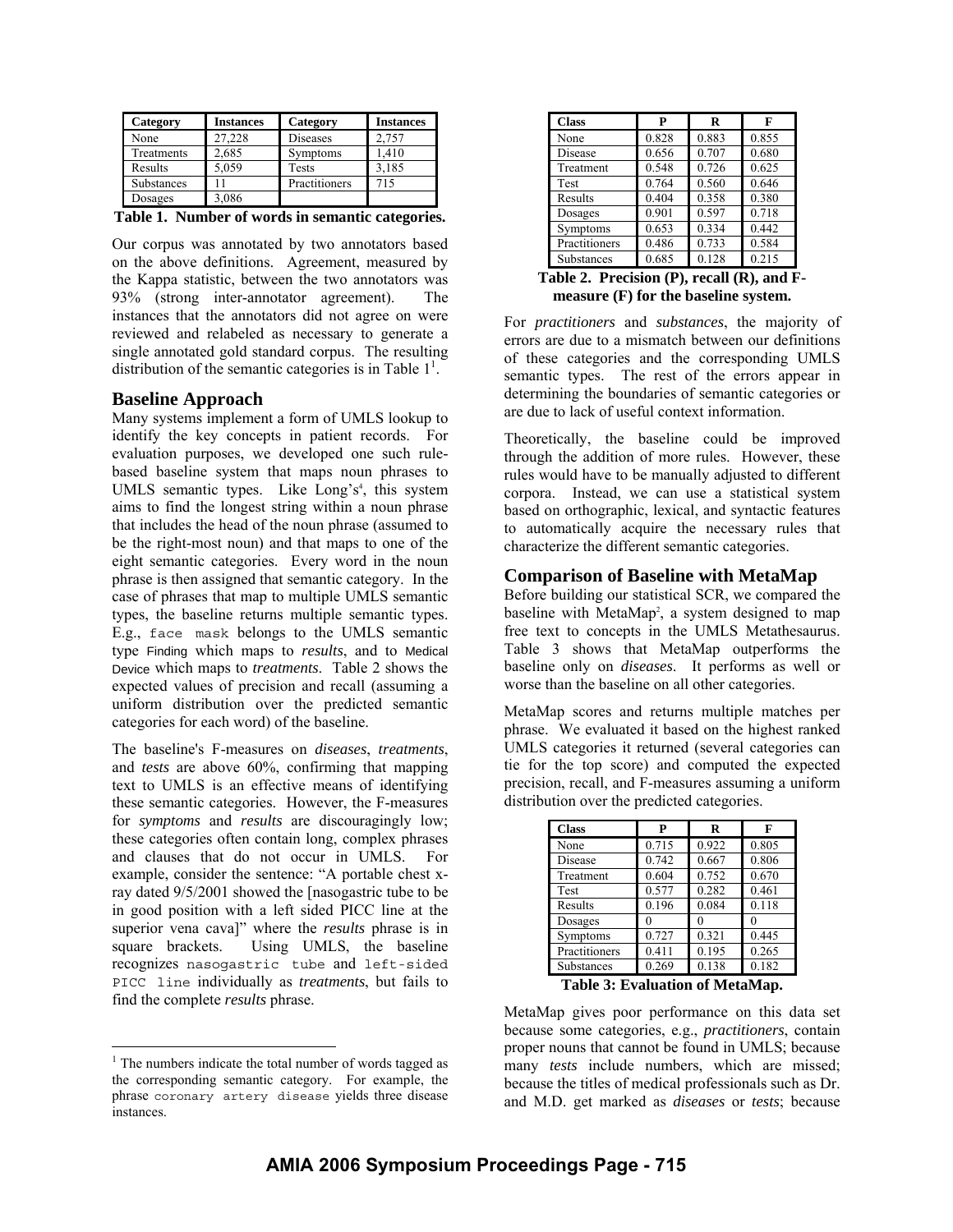| Category   | <b>Instances</b> | Category      | <b>Instances</b> |
|------------|------------------|---------------|------------------|
| None       | 27.228           | Diseases      | 2.757            |
| Treatments | 2,685            | Symptoms      | 1.410            |
| Results    | 5.059            | Tests         | 3.185            |
| Substances |                  | Practitioners | 715              |
| Dosages    | 3.086            |               |                  |

**Table 1. Number of words in semantic categories.** 

Our corpus was annotated by two annotators based on the above definitions. Agreement, measured by the Kappa statistic, between the two annotators was 93% (strong inter-annotator agreement). The instances that the annotators did not agree on were reviewed and relabeled as necessary to generate a single annotated gold standard corpus. The resulting distribution of the semantic categories is in Table  $1<sup>1</sup>$ .

#### **Baseline Approach**

Many systems implement a form of UMLS lookup to identify the key concepts in patient records. For evaluation purposes, we developed one such rulebased baseline system that maps noun phrases to UMLS semantic types. Like Long's<sup>4</sup>, this system aims to find the longest string within a noun phrase that includes the head of the noun phrase (assumed to be the right-most noun) and that maps to one of the eight semantic categories. Every word in the noun phrase is then assigned that semantic category. In the case of phrases that map to multiple UMLS semantic types, the baseline returns multiple semantic types. E.g., face mask belongs to the UMLS semantic type Finding which maps to *results*, and to Medical Device which maps to *treatments*. Table 2 shows the expected values of precision and recall (assuming a uniform distribution over the predicted semantic categories for each word) of the baseline.

The baseline's F-measures on *diseases*, *treatments*, and *tests* are above 60%, confirming that mapping text to UMLS is an effective means of identifying these semantic categories. However, the F-measures for *symptoms* and *results* are discouragingly low; these categories often contain long, complex phrases and clauses that do not occur in UMLS. For example, consider the sentence: "A portable chest xray dated 9/5/2001 showed the [nasogastric tube to be in good position with a left sided PICC line at the superior vena cava]" where the *results* phrase is in square brackets. Using UMLS, the baseline recognizes nasogastric tube and left-sided PICC line individually as *treatments*, but fails to find the complete *results* phrase.

 $\overline{a}$ 

| <b>Class</b>  | P     | R     | F     |
|---------------|-------|-------|-------|
| None          | 0.828 | 0.883 | 0.855 |
| Disease       | 0.656 | 0.707 | 0.680 |
| Treatment     | 0.548 | 0.726 | 0.625 |
| Test          | 0.764 | 0.560 | 0.646 |
| Results       | 0.404 | 0.358 | 0.380 |
| Dosages       | 0.901 | 0.597 | 0.718 |
| Symptoms      | 0.653 | 0.334 | 0.442 |
| Practitioners | 0.486 | 0.733 | 0.584 |
| Substances    | 0.685 | 0.128 | 0.215 |

**Table 2. Precision (P), recall (R), and Fmeasure (F) for the baseline system.** 

For *practitioners* and *substances*, the majority of errors are due to a mismatch between our definitions of these categories and the corresponding UMLS semantic types. The rest of the errors appear in determining the boundaries of semantic categories or are due to lack of useful context information.

Theoretically, the baseline could be improved through the addition of more rules. However, these rules would have to be manually adjusted to different corpora. Instead, we can use a statistical system based on orthographic, lexical, and syntactic features to automatically acquire the necessary rules that characterize the different semantic categories.

#### **Comparison of Baseline with MetaMap**

Before building our statistical SCR, we compared the baseline with MetaMap<sup>2</sup>, a system designed to map free text to concepts in the UMLS Metathesaurus. Table 3 shows that MetaMap outperforms the baseline only on *diseases*. It performs as well or worse than the baseline on all other categories.

MetaMap scores and returns multiple matches per phrase. We evaluated it based on the highest ranked UMLS categories it returned (several categories can tie for the top score) and computed the expected precision, recall, and F-measures assuming a uniform distribution over the predicted categories.

| <b>Class</b>  | P     | R     | F     |
|---------------|-------|-------|-------|
| None          | 0.715 | 0.922 | 0.805 |
| Disease       | 0.742 | 0.667 | 0.806 |
| Treatment     | 0.604 | 0.752 | 0.670 |
| Test          | 0.577 | 0.282 | 0.461 |
| Results       | 0.196 | 0.084 | 0.118 |
| Dosages       |       |       |       |
| Symptoms      | 0.727 | 0.321 | 0.445 |
| Practitioners | 0.411 | 0.195 | 0.265 |
| Substances    | 0.269 | 0.138 | 0.182 |

**Table 3: Evaluation of MetaMap.** 

MetaMap gives poor performance on this data set because some categories, e.g., *practitioners*, contain proper nouns that cannot be found in UMLS; because many *tests* include numbers, which are missed; because the titles of medical professionals such as Dr. and M.D. get marked as *diseases* or *tests*; because

<sup>&</sup>lt;sup>1</sup> The numbers indicate the total number of words tagged as the corresponding semantic category. For example, the phrase coronary artery disease yields three disease instances.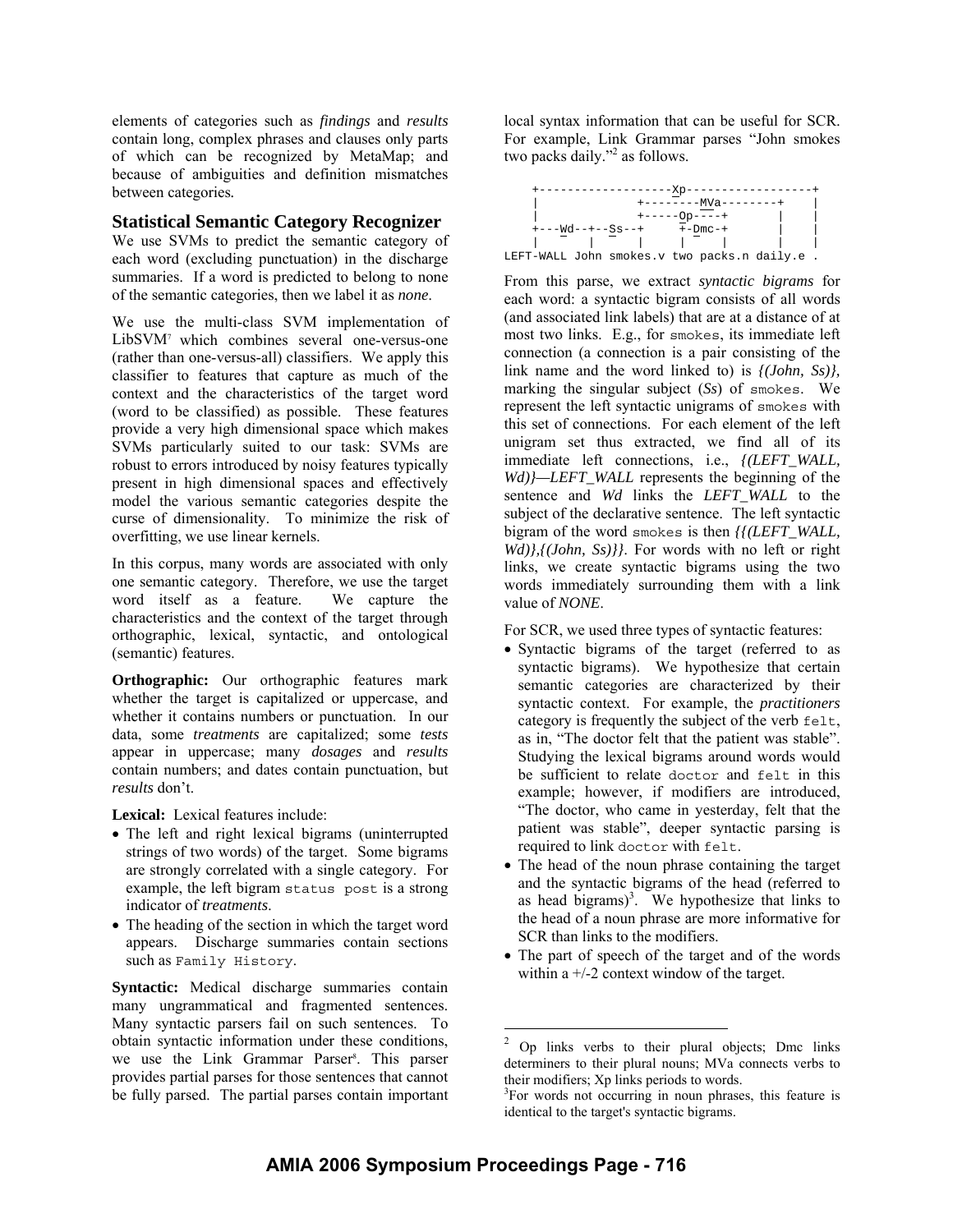elements of categories such as *findings* and *results* contain long, complex phrases and clauses only parts of which can be recognized by MetaMap; and because of ambiguities and definition mismatches between categories*.* 

#### **Statistical Semantic Category Recognizer**

We use SVMs to predict the semantic category of each word (excluding punctuation) in the discharge summaries. If a word is predicted to belong to none of the semantic categories, then we label it as *none*.

We use the multi-class SVM implementation of LibSVM7 which combines several one-versus-one (rather than one-versus-all) classifiers. We apply this classifier to features that capture as much of the context and the characteristics of the target word (word to be classified) as possible. These features provide a very high dimensional space which makes SVMs particularly suited to our task: SVMs are robust to errors introduced by noisy features typically present in high dimensional spaces and effectively model the various semantic categories despite the curse of dimensionality. To minimize the risk of overfitting, we use linear kernels.

In this corpus, many words are associated with only one semantic category. Therefore, we use the target word itself as a feature. We capture the characteristics and the context of the target through orthographic, lexical, syntactic, and ontological (semantic) features.

**Orthographic:** Our orthographic features mark whether the target is capitalized or uppercase, and whether it contains numbers or punctuation. In our data, some *treatments* are capitalized; some *tests* appear in uppercase; many *dosages* and *results* contain numbers; and dates contain punctuation, but *results* don't.

Lexical: Lexical features include:

- The left and right lexical bigrams (uninterrupted strings of two words) of the target. Some bigrams are strongly correlated with a single category. For example, the left bigram status post is a strong indicator of *treatments*.
- The heading of the section in which the target word appears. Discharge summaries contain sections such as Family History.

**Syntactic:** Medical discharge summaries contain many ungrammatical and fragmented sentences. Many syntactic parsers fail on such sentences. To obtain syntactic information under these conditions, we use the Link Grammar Parser<sup>8</sup>. This parser provides partial parses for those sentences that cannot be fully parsed. The partial parses contain important local syntax information that can be useful for SCR. For example, Link Grammar parses "John smokes two packs daily."<sup>2</sup> as follows.



From this parse, we extract *syntactic bigrams* for each word: a syntactic bigram consists of all words (and associated link labels) that are at a distance of at most two links. E.g., for smokes, its immediate left connection (a connection is a pair consisting of the link name and the word linked to) is *{(John, Ss)},* marking the singular subject (*Ss*) of smokes. We represent the left syntactic unigrams of smokes with this set of connections. For each element of the left unigram set thus extracted, we find all of its immediate left connections, i.e., *{(LEFT\_WALL, Wd)}—LEFT\_WALL* represents the beginning of the sentence and *Wd* links the *LEFT\_WALL* to the subject of the declarative sentence. The left syntactic bigram of the word smokes is then *{{(LEFT\_WALL, Wd)},{(John, Ss)}}*. For words with no left or right links, we create syntactic bigrams using the two words immediately surrounding them with a link value of *NONE*.

For SCR, we used three types of syntactic features:

- Syntactic bigrams of the target (referred to as syntactic bigrams). We hypothesize that certain semantic categories are characterized by their syntactic context. For example, the *practitioners* category is frequently the subject of the verb felt, as in, "The doctor felt that the patient was stable". Studying the lexical bigrams around words would be sufficient to relate doctor and felt in this example; however, if modifiers are introduced, "The doctor, who came in yesterday, felt that the patient was stable", deeper syntactic parsing is required to link doctor with felt.
- The head of the noun phrase containing the target and the syntactic bigrams of the head (referred to as head bigrams)<sup>3</sup>. We hypothesize that links to the head of a noun phrase are more informative for SCR than links to the modifiers.
- The part of speech of the target and of the words within a  $+/-2$  context window of the target.

 $\overline{\mathbf{c}}$ <sup>2</sup> Op links verbs to their plural objects; Dmc links determiners to their plural nouns; MVa connects verbs to their modifiers; Xp links periods to words.

<sup>&</sup>lt;sup>3</sup>For words not occurring in noun phrases, this feature is identical to the target's syntactic bigrams.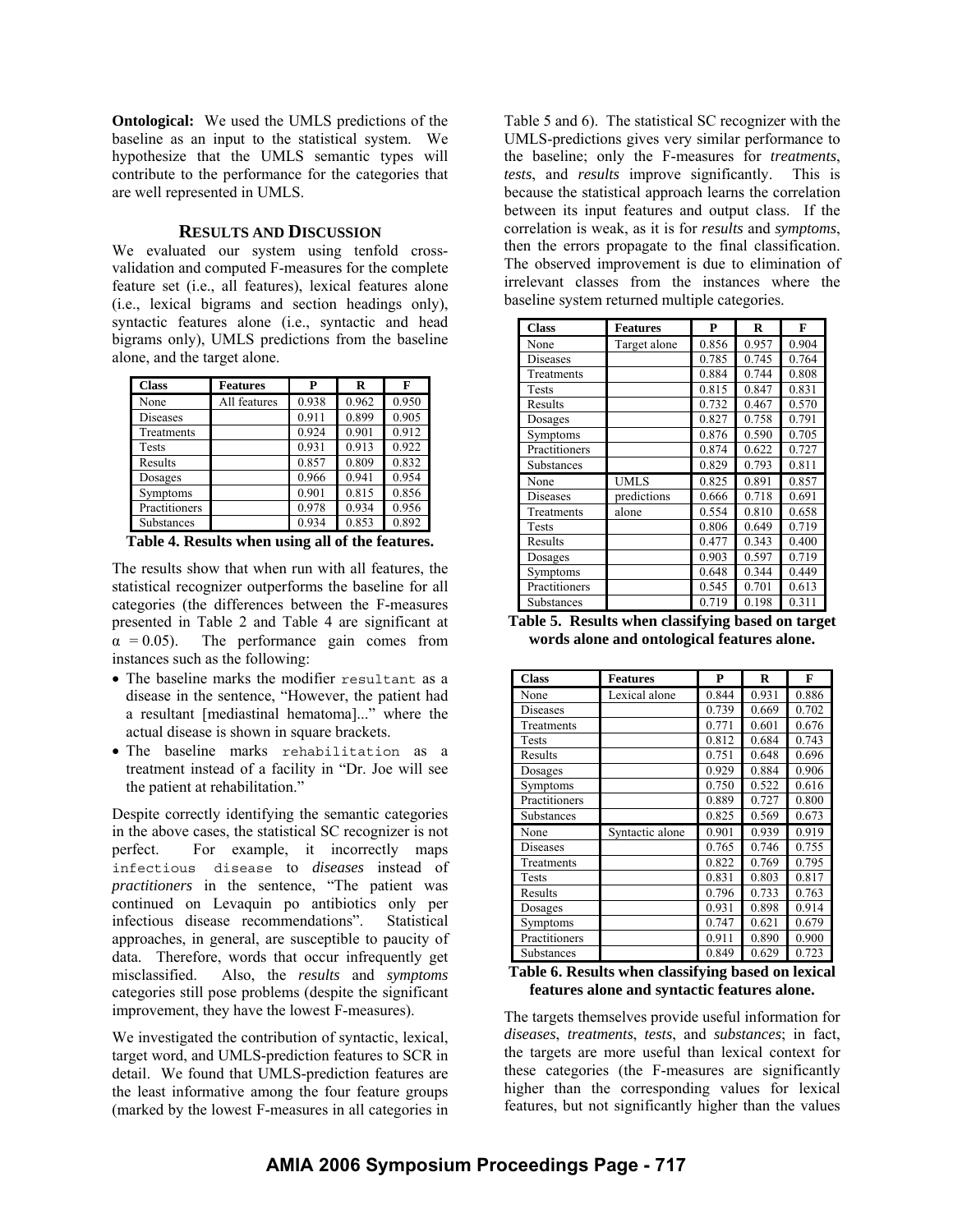**Ontological:** We used the UMLS predictions of the baseline as an input to the statistical system. We hypothesize that the UMLS semantic types will contribute to the performance for the categories that are well represented in UMLS.

# **RESULTS AND DISCUSSION**

We evaluated our system using tenfold crossvalidation and computed F-measures for the complete feature set (i.e., all features), lexical features alone (i.e., lexical bigrams and section headings only), syntactic features alone (i.e., syntactic and head bigrams only), UMLS predictions from the baseline alone, and the target alone.

| <b>Class</b>  | <b>Features</b> | P     | R     | F     |
|---------------|-----------------|-------|-------|-------|
| None          | All features    | 0.938 | 0.962 | 0.950 |
| Diseases      |                 | 0.911 | 0.899 | 0.905 |
| Treatments    |                 | 0.924 | 0.901 | 0.912 |
| Tests         |                 | 0.931 | 0.913 | 0.922 |
| Results       |                 | 0.857 | 0.809 | 0.832 |
| Dosages       |                 | 0.966 | 0.941 | 0.954 |
| Symptoms      |                 | 0.901 | 0.815 | 0.856 |
| Practitioners |                 | 0.978 | 0.934 | 0.956 |
| Substances    |                 | 0.934 | 0.853 | 0.892 |

**Table 4. Results when using all of the features.** 

The results show that when run with all features, the statistical recognizer outperforms the baseline for all categories (the differences between the F-measures presented in Table 2 and Table 4 are significant at  $\alpha$  = 0.05). The performance gain comes from instances such as the following:

- The baseline marks the modifier resultant as a disease in the sentence, "However, the patient had a resultant [mediastinal hematoma]..." where the actual disease is shown in square brackets.
- The baseline marks rehabilitation as a treatment instead of a facility in "Dr. Joe will see the patient at rehabilitation."

Despite correctly identifying the semantic categories in the above cases, the statistical SC recognizer is not perfect. For example, it incorrectly maps infectious disease to *diseases* instead of *practitioners* in the sentence, "The patient was continued on Levaquin po antibiotics only per infectious disease recommendations". Statistical approaches, in general, are susceptible to paucity of data. Therefore, words that occur infrequently get misclassified. Also, the *results* and *symptoms* categories still pose problems (despite the significant improvement, they have the lowest F-measures).

We investigated the contribution of syntactic, lexical, target word, and UMLS-prediction features to SCR in detail. We found that UMLS-prediction features are the least informative among the four feature groups (marked by the lowest F-measures in all categories in

Table 5 and 6). The statistical SC recognizer with the UMLS-predictions gives very similar performance to the baseline; only the F-measures for *treatments*, *tests*, and *results* improve significantly. This is because the statistical approach learns the correlation between its input features and output class. If the correlation is weak, as it is for *results* and *symptoms*, then the errors propagate to the final classification. The observed improvement is due to elimination of irrelevant classes from the instances where the baseline system returned multiple categories.

| <b>Class</b>  | <b>Features</b> | P     | $\bf{R}$ | F     |
|---------------|-----------------|-------|----------|-------|
| None          | Target alone    | 0.856 | 0.957    | 0.904 |
| Diseases      |                 | 0.785 | 0.745    | 0.764 |
| Treatments    |                 | 0.884 | 0.744    | 0.808 |
| Tests         |                 | 0.815 | 0.847    | 0.831 |
| Results       |                 | 0.732 | 0.467    | 0.570 |
| Dosages       |                 | 0.827 | 0.758    | 0.791 |
| Symptoms      |                 | 0.876 | 0.590    | 0.705 |
| Practitioners |                 | 0.874 | 0.622    | 0.727 |
| Substances    |                 | 0.829 | 0.793    | 0.811 |
| None          | <b>UMLS</b>     | 0.825 | 0.891    | 0.857 |
| Diseases      | predictions     | 0.666 | 0.718    | 0.691 |
| Treatments    | alone           | 0.554 | 0.810    | 0.658 |
| Tests         |                 | 0.806 | 0.649    | 0.719 |
| Results       |                 | 0.477 | 0.343    | 0.400 |
| Dosages       |                 | 0.903 | 0.597    | 0.719 |
| Symptoms      |                 | 0.648 | 0.344    | 0.449 |
| Practitioners |                 | 0.545 | 0.701    | 0.613 |
| Substances    |                 | 0.719 | 0.198    | 0.311 |

**Table 5. Results when classifying based on target words alone and ontological features alone.** 

| <b>Class</b>  | <b>Features</b> | P     | R     | F     |
|---------------|-----------------|-------|-------|-------|
| None          | Lexical alone   | 0.844 | 0.931 | 0.886 |
| Diseases      |                 | 0.739 | 0.669 | 0.702 |
| Treatments    |                 | 0.771 | 0.601 | 0.676 |
| Tests         |                 | 0.812 | 0.684 | 0.743 |
| Results       |                 | 0.751 | 0.648 | 0.696 |
| Dosages       |                 | 0.929 | 0.884 | 0.906 |
| Symptoms      |                 | 0.750 | 0.522 | 0.616 |
| Practitioners |                 | 0.889 | 0.727 | 0.800 |
| Substances    |                 | 0.825 | 0.569 | 0.673 |
| None          | Syntactic alone | 0.901 | 0.939 | 0.919 |
| Diseases      |                 | 0.765 | 0.746 | 0.755 |
| Treatments    |                 | 0.822 | 0.769 | 0.795 |
| Tests         |                 | 0.831 | 0.803 | 0.817 |
| Results       |                 | 0.796 | 0.733 | 0.763 |
| Dosages       |                 | 0.931 | 0.898 | 0.914 |
| Symptoms      |                 | 0.747 | 0.621 | 0.679 |
| Practitioners |                 | 0.911 | 0.890 | 0.900 |
| Substances    |                 | 0.849 | 0.629 | 0.723 |

#### **Table 6. Results when classifying based on lexical features alone and syntactic features alone.**

The targets themselves provide useful information for *diseases*, *treatments*, *tests*, and *substances*; in fact, the targets are more useful than lexical context for these categories (the F-measures are significantly higher than the corresponding values for lexical features, but not significantly higher than the values